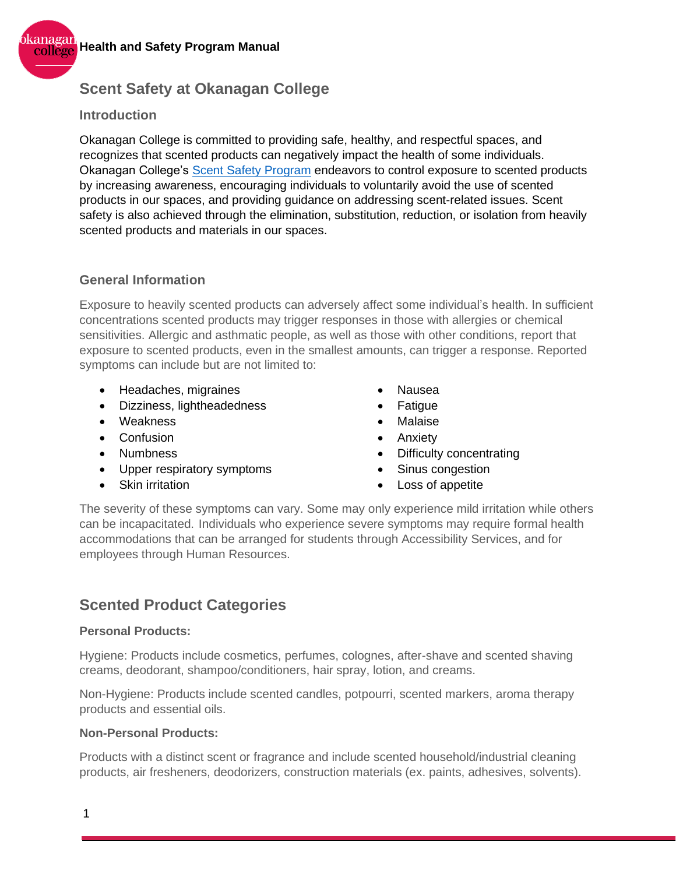

### **Scent Safety at Okanagan College**

### **Introduction**

Okanagan College is committed to providing safe, healthy, and respectful spaces, and recognizes that scented products can negatively impact the health of some individuals. Okanagan College's [Scent Safety Program](https://okanagan365.sharepoint.com/:b:/s/KelownaJOHSCommittee/EQGxJ7cM5TNNoD0wqklVolQBLapqSHo-9jWe7oNvSD8P8Q?e=wcYlEX) endeavors to control exposure to scented products by increasing awareness, encouraging individuals to voluntarily avoid the use of scented products in our spaces, and providing guidance on addressing scent-related issues. Scent safety is also achieved through the elimination, substitution, reduction, or isolation from heavily scented products and materials in our spaces.

### **General Information**

Exposure to heavily scented products can adversely affect some individual's health. In sufficient concentrations scented products may trigger responses in those with allergies or chemical sensitivities. Allergic and asthmatic people, as well as those with other conditions, report that exposure to scented products, even in the smallest amounts, can trigger a response. Reported symptoms can include but are not limited to:

- Headaches, migraines
- Dizziness, lightheadedness
- Weakness
- Confusion
- Numbness
- Upper respiratory symptoms
- Skin irritation
- Nausea
- **Fatigue**
- **Malaise**
- **Anxiety**
- Difficulty concentrating
- Sinus congestion
- Loss of appetite

The severity of these symptoms can vary. Some may only experience mild irritation while others can be incapacitated. Individuals who experience severe symptoms may require formal health accommodations that can be arranged for students through Accessibility Services, and for employees through Human Resources.

### **Scented Product Categories**

#### **Personal Products:**

Hygiene: Products include cosmetics, perfumes, colognes, after-shave and scented shaving creams, deodorant, shampoo/conditioners, hair spray, lotion, and creams.

Non-Hygiene: Products include scented candles, potpourri, scented markers, aroma therapy products and essential oils.

#### **Non-Personal Products:**

Products with a distinct scent or fragrance and include scented household/industrial cleaning products, air fresheners, deodorizers, construction materials (ex. paints, adhesives, solvents).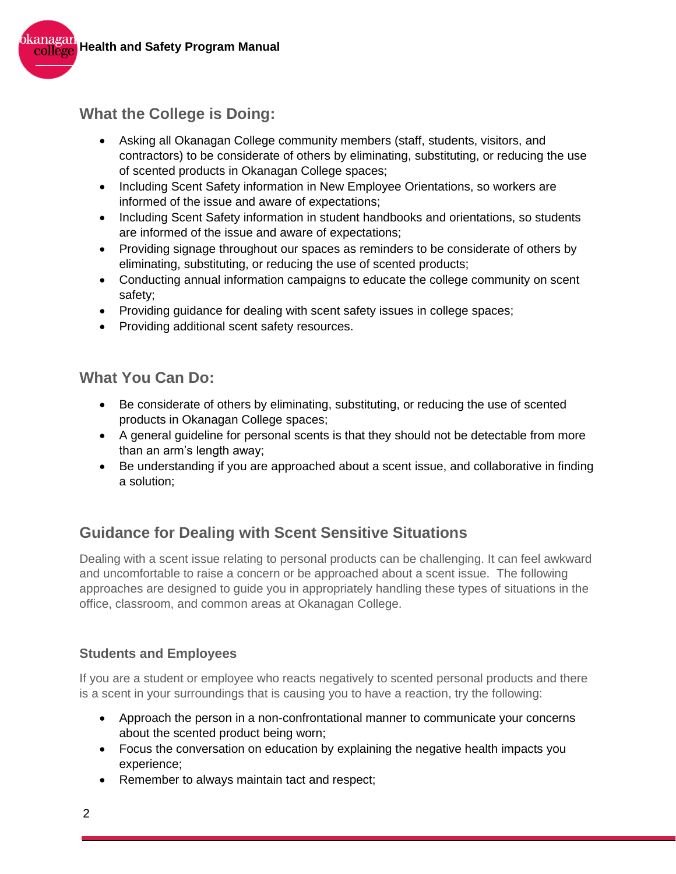

## **What the College is Doing:**

- Asking all Okanagan College community members (staff, students, visitors, and contractors) to be considerate of others by eliminating, substituting, or reducing the use of scented products in Okanagan College spaces;
- Including Scent Safety information in New Employee Orientations, so workers are informed of the issue and aware of expectations;
- Including Scent Safety information in student handbooks and orientations, so students are informed of the issue and aware of expectations;
- Providing signage throughout our spaces as reminders to be considerate of others by eliminating, substituting, or reducing the use of scented products;
- Conducting annual information campaigns to educate the college community on scent safety;
- Providing quidance for dealing with scent safety issues in college spaces;
- Providing additional scent safety resources.

### **What You Can Do:**

- Be considerate of others by eliminating, substituting, or reducing the use of scented products in Okanagan College spaces;
- A general guideline for personal scents is that they should not be detectable from more than an arm's length away;
- Be understanding if you are approached about a scent issue, and collaborative in finding a solution;

## **Guidance for Dealing with Scent Sensitive Situations**

Dealing with a scent issue relating to personal products can be challenging. It can feel awkward and uncomfortable to raise a concern or be approached about a scent issue. The following approaches are designed to guide you in appropriately handling these types of situations in the office, classroom, and common areas at Okanagan College.

### **Students and Employees**

If you are a student or employee who reacts negatively to scented personal products and there is a scent in your surroundings that is causing you to have a reaction, try the following:

- Approach the person in a non-confrontational manner to communicate your concerns about the scented product being worn;
- Focus the conversation on education by explaining the negative health impacts you experience;
- Remember to always maintain tact and respect;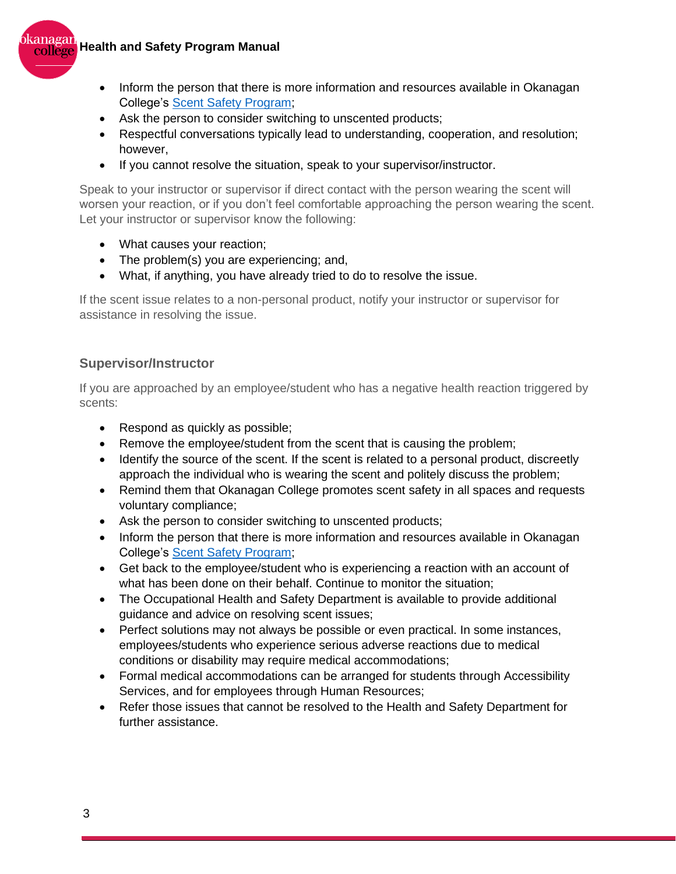## **Health and Safety Program Manual**



- Inform the person that there is more information and resources available in Okanagan College's [Scent Safety Program;](https://okanagan365.sharepoint.com/:b:/s/KelownaJOHSCommittee/EQGxJ7cM5TNNoD0wqklVolQBLapqSHo-9jWe7oNvSD8P8Q?e=wcYlEX)
- Ask the person to consider switching to unscented products;
- Respectful conversations typically lead to understanding, cooperation, and resolution; however,
- If you cannot resolve the situation, speak to your supervisor/instructor.

Speak to your instructor or supervisor if direct contact with the person wearing the scent will worsen your reaction, or if you don't feel comfortable approaching the person wearing the scent. Let your instructor or supervisor know the following:

- What causes your reaction;
- The problem(s) you are experiencing; and,
- What, if anything, you have already tried to do to resolve the issue.

If the scent issue relates to a non-personal product, notify your instructor or supervisor for assistance in resolving the issue.

#### **Supervisor/Instructor**

If you are approached by an employee/student who has a negative health reaction triggered by scents:

- Respond as quickly as possible;
- Remove the employee/student from the scent that is causing the problem;
- Identify the source of the scent. If the scent is related to a personal product, discreetly approach the individual who is wearing the scent and politely discuss the problem;
- Remind them that Okanagan College promotes scent safety in all spaces and requests voluntary compliance;
- Ask the person to consider switching to unscented products;
- Inform the person that there is more information and resources available in Okanagan College's [Scent Safety Program;](https://okanagan365.sharepoint.com/:b:/s/KelownaJOHSCommittee/EQGxJ7cM5TNNoD0wqklVolQBLapqSHo-9jWe7oNvSD8P8Q?e=wcYlEX)
- Get back to the employee/student who is experiencing a reaction with an account of what has been done on their behalf. Continue to monitor the situation;
- The Occupational Health and Safety Department is available to provide additional guidance and advice on resolving scent issues;
- Perfect solutions may not always be possible or even practical. In some instances, employees/students who experience serious adverse reactions due to medical conditions or disability may require medical accommodations;
- Formal medical accommodations can be arranged for students through Accessibility Services, and for employees through Human Resources;
- Refer those issues that cannot be resolved to the Health and Safety Department for further assistance.